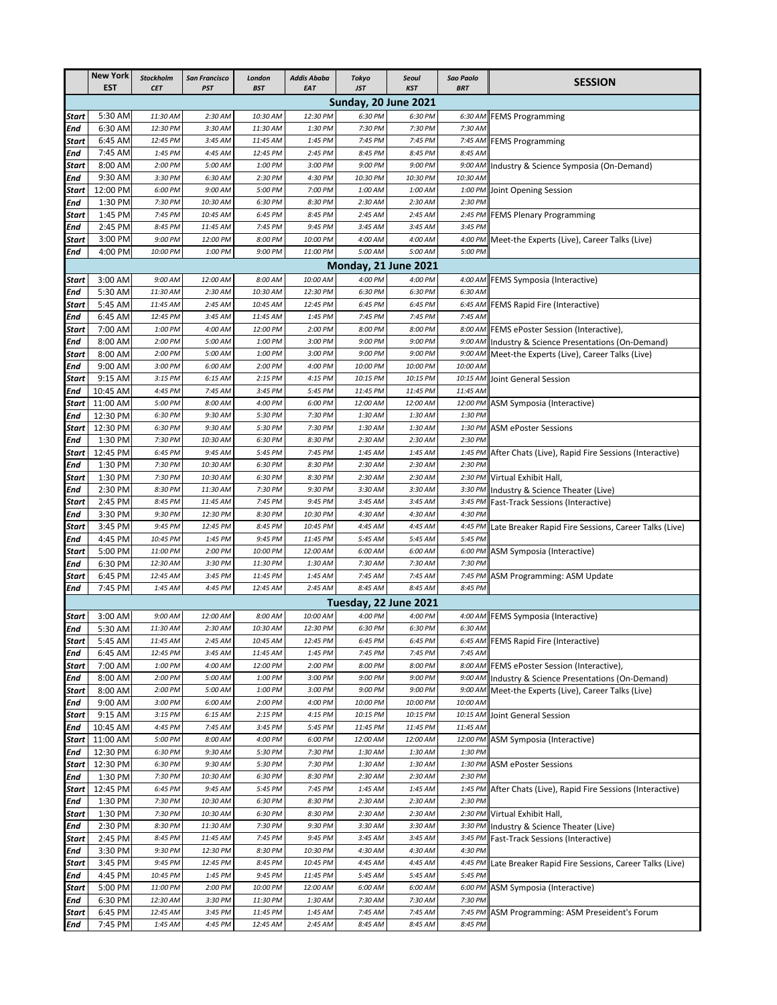|                                                                                                                                                     | <b>New York</b><br><b>EST</b> | <b>Stockholm</b><br><b>CET</b> | <b>San Francisco</b><br><b>PST</b> | London<br><b>BST</b> | Addis Ababa<br><b>EAT</b> | <b>Tokyo</b><br><b>JST</b>       | <b>Seoul</b><br><b>KST</b> | <b>Sao Paolo</b><br><b>BRT</b> | <b>SESSION</b>                                                |  |
|-----------------------------------------------------------------------------------------------------------------------------------------------------|-------------------------------|--------------------------------|------------------------------------|----------------------|---------------------------|----------------------------------|----------------------------|--------------------------------|---------------------------------------------------------------|--|
|                                                                                                                                                     |                               |                                |                                    |                      |                           |                                  |                            |                                |                                                               |  |
| Start                                                                                                                                               | 5:30 AM                       | 11:30 AM                       | 2:30 AM                            | 10:30 AM             | 12:30 PM                  | 6:30 PM                          | 6:30 PM                    | 6:30 AM                        | <b>FEMS Programming</b>                                       |  |
| End                                                                                                                                                 | 6:30 AM                       | 12:30 PM                       | 3:30 AM                            | 11:30 AM             | 1:30 PM                   | 7:30 PM                          | 7:30 PM                    | 7:30 AM                        |                                                               |  |
| Start                                                                                                                                               | 6:45 AM                       | 12:45 PM                       | 3:45 AM                            | 11:45 AM             | 1:45 PM                   | 7:45 PM                          | 7:45 PM                    |                                | 7:45 AM FEMS Programming                                      |  |
| End                                                                                                                                                 | 7:45 AM                       | 1:45 PM                        | 4:45 AM                            | 12:45 PM             | 2:45 PM                   | 8:45 PM                          | 8:45 PM                    | 8:45 AM                        |                                                               |  |
| Start                                                                                                                                               | 8:00 AM                       | 2:00 PM                        | 5:00 AM                            | 1:00 PM              | 3:00 PM                   | 9:00 PM                          | 9:00 PM                    | 9:00 AM                        | Industry & Science Symposia (On-Demand)                       |  |
| End                                                                                                                                                 | 9:30 AM                       | 3:30 PM                        | 6:30 AM                            | 2:30 PM              | 4:30 PM                   | 10:30 PM                         | 10:30 PM                   | 10:30 AM                       |                                                               |  |
| Start                                                                                                                                               | 12:00 PM                      | 6:00 PM                        | 9:00 AM                            | 5:00 PM              | 7:00 PM                   | 1:00 AM                          | 1:00 AM                    | 1:00 PM<br>2:30 PM             | Joint Opening Session                                         |  |
| End<br>Start                                                                                                                                        | 1:30 PM<br>1:45 PM            | 7:30 PM<br>7:45 PM             | 10:30 AM<br>10:45 AM               | 6:30 PM<br>6:45 PM   | 8:30 PM<br>8:45 PM        | 2:30 AM<br>2:45 AM               | 2:30 AM<br>2:45 AM         | 2:45 PM                        | <b>FEMS Plenary Programming</b>                               |  |
| End                                                                                                                                                 | 2:45 PM                       | 8:45 PM                        | 11:45 AM                           | 7:45 PM              | 9:45 PM                   | 3:45 AM                          | 3:45 AM                    | 3:45 PM                        |                                                               |  |
| Start                                                                                                                                               | 3:00 PM                       | 9:00 PM                        | 12:00 PM                           | 8:00 PM              | 10:00 PM                  | 4:00 AM                          | 4:00 AM                    |                                | 4:00 PM Meet-the Experts (Live), Career Talks (Live)          |  |
| End                                                                                                                                                 | 4:00 PM                       | 10:00 PM                       | 1:00 PM                            | 9:00 PM              | 11:00 PM                  | 5:00 AM                          | 5:00 AM                    | 5:00 PM                        |                                                               |  |
|                                                                                                                                                     |                               |                                |                                    |                      |                           |                                  |                            |                                |                                                               |  |
| Monday, 21 June 2021<br>10:00 AM<br>4:00 PM<br>3:00 AM<br>9:00 AM<br>12:00 AM<br>8:00 AM<br>4:00 PM<br>4:00 AM FEMS Symposia (Interactive)<br>Start |                               |                                |                                    |                      |                           |                                  |                            |                                |                                                               |  |
| End                                                                                                                                                 | 5:30 AM                       | 11:30 AM                       | 2:30 AM                            | 10:30 AM             | 12:30 PM                  | 6:30 PM                          | 6:30 PM                    | 6:30 AM                        |                                                               |  |
| Start                                                                                                                                               | 5:45 AM                       | 11:45 AM                       | 2:45 AM                            | 10:45 AM             | 12:45 PM                  | 6:45 PM                          | 6:45 PM                    |                                | 6:45 AM FEMS Rapid Fire (Interactive)                         |  |
| End                                                                                                                                                 | 6:45 AM                       | 12:45 PM                       | 3:45 AM                            | 11:45 AM             | 1:45 PM                   | 7:45 PM                          | 7:45 PM                    | 7:45 AM                        |                                                               |  |
| Start                                                                                                                                               | 7:00 AM                       | 1:00 PM                        | 4:00 AM                            | 12:00 PM             | 2:00 PM                   | 8:00 PM                          | 8:00 PM                    | 8:00 AM                        | FEMS ePoster Session (Interactive),                           |  |
| End                                                                                                                                                 | 8:00 AM                       | 2:00 PM                        | 5:00 AM                            | 1:00 PM              | 3:00 PM                   | 9:00 PM                          | 9:00 PM                    |                                | 9:00 AM Industry & Science Presentations (On-Demand)          |  |
| Start                                                                                                                                               | 8:00 AM                       | 2:00 PM                        | 5:00 AM                            | 1:00 PM              | 3:00 PM                   | 9:00 PM                          | 9:00 PM                    |                                | 9:00 AM Meet-the Experts (Live), Career Talks (Live)          |  |
| End                                                                                                                                                 | 9:00 AM                       | 3:00 PM                        | 6:00 AM<br>6:15 AM                 | 2:00 PM              | 4:00 PM<br>4:15 PM        | 10:00 PM                         | 10:00 PM                   | 10:00 AM                       |                                                               |  |
| Start<br>End                                                                                                                                        | 9:15 AM<br>10:45 AM           | 3:15 PM<br>4:45 PM             | 7:45 AM                            | 2:15 PM<br>3:45 PM   | 5:45 PM                   | 10:15 PM<br>11:45 PM             | 10:15 PM<br>11:45 PM       | 10:15 AM<br>11:45 AM           | Joint General Session                                         |  |
| Start                                                                                                                                               | 11:00 AM                      | 5:00 PM                        | 8:00 AM                            | 4:00 PM              | 6:00 PM                   | 12:00 AM                         | 12:00 AM                   |                                | 12:00 PM ASM Symposia (Interactive)                           |  |
| End                                                                                                                                                 | 12:30 PM                      | 6:30 PM                        | 9:30 AM                            | 5:30 PM              | 7:30 PM                   | 1:30 AM                          | 1:30 AM                    | 1:30 PM                        |                                                               |  |
| Start                                                                                                                                               | 12:30 PM                      | 6:30 PM                        | 9:30 AM                            | 5:30 PM              | 7:30 PM                   | 1:30 AM                          | 1:30 AM                    | 1:30 PM                        | <b>ASM ePoster Sessions</b>                                   |  |
| End                                                                                                                                                 | 1:30 PM                       | 7:30 PM                        | 10:30 AM                           | 6:30 PM              | 8:30 PM                   | 2:30 AM                          | 2:30 AM                    | 2:30 PM                        |                                                               |  |
| Start                                                                                                                                               | 12:45 PM                      | 6:45 PM                        | 9:45 AM                            | 5:45 PM              | 7:45 PM                   | 1:45 AM                          | 1:45 AM                    |                                | 1:45 PM After Chats (Live), Rapid Fire Sessions (Interactive) |  |
| End                                                                                                                                                 | 1:30 PM                       | 7:30 PM                        | 10:30 AM                           | 6:30 PM              | 8:30 PM                   | 2:30 AM                          | 2:30 AM                    | 2:30 PM                        |                                                               |  |
| Start                                                                                                                                               | 1:30 PM                       | 7:30 PM                        | 10:30 AM                           | 6:30 PM              | 8:30 PM                   | 2:30 AM                          | 2:30 AM                    | 2:30 PM                        | Virtual Exhibit Hall,                                         |  |
| End                                                                                                                                                 | 2:30 PM                       | 8:30 PM                        | 11:30 AM                           | 7:30 PM              | 9:30 PM                   | 3:30 AM                          | 3:30 AM                    | 3:30 PM                        | Industry & Science Theater (Live)                             |  |
| Start                                                                                                                                               | 2:45 PM<br>3:30 PM            | 8:45 PM<br>9:30 PM             | 11:45 AM                           | 7:45 PM              | 9:45 PM                   | 3:45 AM                          | 3:45 AM<br>4:30 AM         | 4:30 PM                        | 3:45 PM Fast-Track Sessions (Interactive)                     |  |
| End<br>Start                                                                                                                                        | 3:45 PM                       | 9:45 PM                        | 12:30 PM<br>12:45 PM               | 8:30 PM<br>8:45 PM   | 10:30 PM<br>10:45 PM      | 4:30 AM<br>4:45 AM               | 4:45 AM                    | 4:45 PM                        | Late Breaker Rapid Fire Sessions, Career Talks (Live)         |  |
| End                                                                                                                                                 | 4:45 PM                       | 10:45 PM                       | 1:45 PM                            | 9:45 PM              | 11:45 PM                  | 5:45 AM                          | 5:45 AM                    | 5:45 PM                        |                                                               |  |
| Start                                                                                                                                               | 5:00 PM                       | 11:00 PM                       | 2:00 PM                            | 10:00 PM             | 12:00 AM                  | 6:00 AM                          | 6:00 AM                    |                                | 6:00 PM ASM Symposia (Interactive)                            |  |
| End                                                                                                                                                 | 6:30 PM                       | 12:30 AM                       | 3:30 PM                            | 11:30 PM             | 1:30 AM                   | 7:30 AM                          | 7:30 AM                    | 7:30 PM                        |                                                               |  |
| Start                                                                                                                                               | 6:45 PM                       | 12:45 AM                       | 3:45 PM                            | 11:45 PM             | 1:45 AM                   | 7:45 AM                          | 7:45 AM                    |                                | 7:45 PM ASM Programming: ASM Update                           |  |
| End                                                                                                                                                 | 7:45 PM                       | 1:45 AM                        | 4:45 PM                            | 12:45 AM             | 2:45 AM                   | 8:45 AM<br>Tuesday, 22 June 2021 | 8:45 AM                    | 8:45 PM                        |                                                               |  |
|                                                                                                                                                     |                               |                                |                                    |                      |                           |                                  |                            |                                |                                                               |  |
| Start                                                                                                                                               | 3:00 AM                       | 9:00 AM                        | 12:00 AM                           | 8:00 AM              | 10:00 AM                  | 4:00 PM                          | 4:00 PM                    |                                | 4:00 AM FEMS Symposia (Interactive)                           |  |
| End                                                                                                                                                 | 5:30 AM                       | 11:30 AM                       | 2:30 AM                            | 10:30 AM             | 12:30 PM                  | 6:30 PM                          | 6:30 PM                    | 6:30 AM                        |                                                               |  |
| Start                                                                                                                                               | 5:45 AM                       | 11:45 AM                       | 2:45 AM                            | 10:45 AM             | 12:45 PM                  | 6:45 PM                          | 6:45 PM                    |                                | 6:45 AM FEMS Rapid Fire (Interactive)                         |  |
| End                                                                                                                                                 | 6:45 AM<br>7:00 AM            | 12:45 PM<br>1:00 PM            | 3:45 AM<br>4:00 AM                 | 11:45 AM<br>12:00 PM | 1:45 PM<br>2:00 PM        | 7:45 PM<br>8:00 PM               | 7:45 PM<br>8:00 PM         | 7:45 AM                        | 8:00 AM FEMS ePoster Session (Interactive),                   |  |
| <b>Start</b><br>End                                                                                                                                 | 8:00 AM                       | 2:00 PM                        | 5:00 AM                            | 1:00 PM              | 3:00 PM                   | 9:00 PM                          | 9:00 PM                    | 9:00 AM                        | Industry & Science Presentations (On-Demand)                  |  |
| Start                                                                                                                                               | 8:00 AM                       | 2:00 PM                        | 5:00 AM                            | 1:00 PM              | 3:00 PM                   | 9:00 PM                          | 9:00 PM                    | 9:00 AM                        | Meet-the Experts (Live), Career Talks (Live)                  |  |
| End                                                                                                                                                 | 9:00 AM                       | 3:00 PM                        | 6:00 AM                            | 2:00 PM              | 4:00 PM                   | 10:00 PM                         | 10:00 PM                   | 10:00 AM                       |                                                               |  |
| Start                                                                                                                                               | 9:15 AM                       | 3:15 PM                        | 6:15 AM                            | 2:15 PM              | 4:15 PM                   | 10:15 PM                         | 10:15 PM                   | 10:15 AM                       | Joint General Session                                         |  |
| End                                                                                                                                                 | 10:45 AM                      | 4:45 PM                        | 7:45 AM                            | 3:45 PM              | 5:45 PM                   | 11:45 PM                         | 11:45 PM                   | 11:45 AM                       |                                                               |  |
| Start                                                                                                                                               | 11:00 AM                      | 5:00 PM                        | 8:00 AM                            | 4:00 PM              | 6:00 PM                   | 12:00 AM                         | 12:00 AM                   | 12:00 PM                       | ASM Symposia (Interactive)                                    |  |
| End                                                                                                                                                 | 12:30 PM                      | 6:30 PM                        | 9:30 AM                            | 5:30 PM              | 7:30 PM                   | 1:30 AM                          | 1:30 AM                    | 1:30 PM                        |                                                               |  |
| Start                                                                                                                                               | 12:30 PM                      | 6:30 PM                        | 9:30 AM                            | 5:30 PM              | 7:30 PM                   | 1:30 AM                          | 1:30 AM                    | 1:30 PM                        | <b>ASM ePoster Sessions</b>                                   |  |
| End                                                                                                                                                 | 1:30 PM                       | 7:30 PM                        | 10:30 AM                           | 6:30 PM              | 8:30 PM                   | 2:30 AM                          | 2:30 AM                    | 2:30 PM                        |                                                               |  |
| Start<br>End                                                                                                                                        | 12:45 PM<br>1:30 PM           | 6:45 PM<br>7:30 PM             | 9:45 AM<br>10:30 AM                | 5:45 PM<br>6:30 PM   | 7:45 PM<br>8:30 PM        | 1:45 AM<br>2:30 AM               | 1:45 AM<br>2:30 AM         | 1:45 PM<br>2:30 PM             | After Chats (Live), Rapid Fire Sessions (Interactive)         |  |
| Start                                                                                                                                               | 1:30 PM                       | 7:30 PM                        | 10:30 AM                           | 6:30 PM              | 8:30 PM                   | 2:30 AM                          | 2:30 AM                    |                                | 2:30 PM Virtual Exhibit Hall,                                 |  |
| End                                                                                                                                                 | 2:30 PM                       | 8:30 PM                        | 11:30 AM                           | 7:30 PM              | 9:30 PM                   | 3:30 AM                          | 3:30 AM                    | 3:30 PM                        | Industry & Science Theater (Live)                             |  |
| Start                                                                                                                                               | 2:45 PM                       | 8:45 PM                        | 11:45 AM                           | 7:45 PM              | 9:45 PM                   | 3:45 AM                          | 3:45 AM                    | 3:45 PM                        | <b>Fast-Track Sessions (Interactive)</b>                      |  |
| End                                                                                                                                                 | 3:30 PM                       | 9:30 PM                        | 12:30 PM                           | 8:30 PM              | 10:30 PM                  | 4:30 AM                          | 4:30 AM                    | 4:30 PM                        |                                                               |  |
| <b>Start</b>                                                                                                                                        | 3:45 PM                       | 9:45 PM                        | 12:45 PM                           | 8:45 PM              | 10:45 PM                  | 4:45 AM                          | 4:45 AM                    | 4:45 PM                        | Late Breaker Rapid Fire Sessions, Career Talks (Live)         |  |
| End                                                                                                                                                 | 4:45 PM                       | 10:45 PM                       | 1:45 PM                            | 9:45 PM              | 11:45 PM                  | 5:45 AM                          | 5:45 AM                    | 5:45 PM                        |                                                               |  |
| Start                                                                                                                                               | 5:00 PM                       | 11:00 PM                       | 2:00 PM                            | 10:00 PM             | 12:00 AM                  | 6:00 AM                          | 6:00 AM                    |                                | 6:00 PM ASM Symposia (Interactive)                            |  |
| End                                                                                                                                                 | 6:30 PM                       | 12:30 AM                       | 3:30 PM                            | 11:30 PM             | 1:30 AM                   | 7:30 AM                          | 7:30 AM                    | 7:30 PM                        |                                                               |  |
| Start                                                                                                                                               | 6:45 PM                       | 12:45 AM                       | 3:45 PM                            | 11:45 PM             | 1:45 AM                   | 7:45 AM                          | 7:45 AM                    |                                | 7:45 PM ASM Programming: ASM Preseident's Forum               |  |
| End                                                                                                                                                 | 7:45 PM                       | 1:45 AM                        | 4:45 PM                            | 12:45 AM             | 2:45 AM                   | 8:45 AM                          | 8:45 AM                    | 8:45 PM                        |                                                               |  |